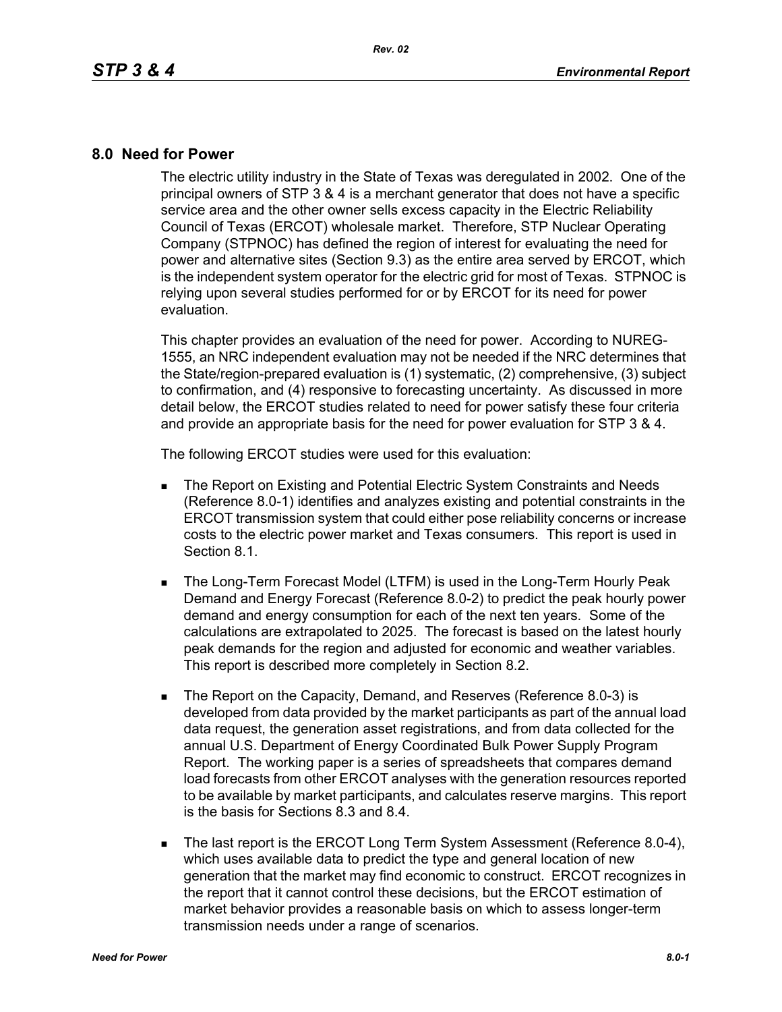## **8.0 Need for Power**

The electric utility industry in the State of Texas was deregulated in 2002. One of the principal owners of STP 3 & 4 is a merchant generator that does not have a specific service area and the other owner sells excess capacity in the Electric Reliability Council of Texas (ERCOT) wholesale market. Therefore, STP Nuclear Operating Company (STPNOC) has defined the region of interest for evaluating the need for power and alternative sites (Section 9.3) as the entire area served by ERCOT, which is the independent system operator for the electric grid for most of Texas. STPNOC is relying upon several studies performed for or by ERCOT for its need for power evaluation.

This chapter provides an evaluation of the need for power. According to NUREG-1555, an NRC independent evaluation may not be needed if the NRC determines that the State/region-prepared evaluation is (1) systematic, (2) comprehensive, (3) subject to confirmation, and (4) responsive to forecasting uncertainty. As discussed in more detail below, the ERCOT studies related to need for power satisfy these four criteria and provide an appropriate basis for the need for power evaluation for STP 3 & 4.

The following ERCOT studies were used for this evaluation:

- **The Report on Existing and Potential Electric System Constraints and Needs** (Reference 8.0-1) identifies and analyzes existing and potential constraints in the ERCOT transmission system that could either pose reliability concerns or increase costs to the electric power market and Texas consumers. This report is used in Section 8.1.
- **The Long-Term Forecast Model (LTFM) is used in the Long-Term Hourly Peak** Demand and Energy Forecast (Reference 8.0-2) to predict the peak hourly power demand and energy consumption for each of the next ten years. Some of the calculations are extrapolated to 2025. The forecast is based on the latest hourly peak demands for the region and adjusted for economic and weather variables. This report is described more completely in Section 8.2.
- The Report on the Capacity, Demand, and Reserves (Reference 8.0-3) is developed from data provided by the market participants as part of the annual load data request, the generation asset registrations, and from data collected for the annual U.S. Department of Energy Coordinated Bulk Power Supply Program Report. The working paper is a series of spreadsheets that compares demand load forecasts from other ERCOT analyses with the generation resources reported to be available by market participants, and calculates reserve margins. This report is the basis for Sections 8.3 and 8.4.
- The last report is the ERCOT Long Term System Assessment (Reference 8.0-4), which uses available data to predict the type and general location of new generation that the market may find economic to construct. ERCOT recognizes in the report that it cannot control these decisions, but the ERCOT estimation of market behavior provides a reasonable basis on which to assess longer-term transmission needs under a range of scenarios.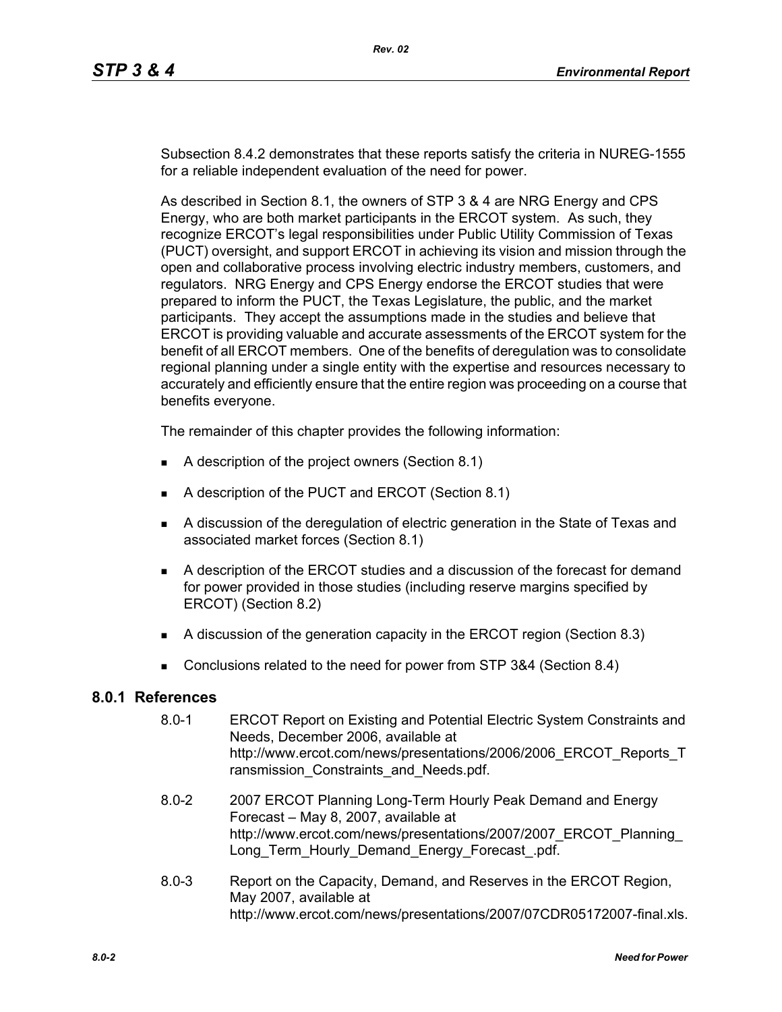Subsection 8.4.2 demonstrates that these reports satisfy the criteria in NUREG-1555 for a reliable independent evaluation of the need for power.

As described in Section 8.1, the owners of STP 3 & 4 are NRG Energy and CPS Energy, who are both market participants in the ERCOT system. As such, they recognize ERCOT's legal responsibilities under Public Utility Commission of Texas (PUCT) oversight, and support ERCOT in achieving its vision and mission through the open and collaborative process involving electric industry members, customers, and regulators. NRG Energy and CPS Energy endorse the ERCOT studies that were prepared to inform the PUCT, the Texas Legislature, the public, and the market participants. They accept the assumptions made in the studies and believe that ERCOT is providing valuable and accurate assessments of the ERCOT system for the benefit of all ERCOT members. One of the benefits of deregulation was to consolidate regional planning under a single entity with the expertise and resources necessary to accurately and efficiently ensure that the entire region was proceeding on a course that benefits everyone.

The remainder of this chapter provides the following information:

- A description of the project owners (Section 8.1)
- A description of the PUCT and ERCOT (Section 8.1)
- A discussion of the deregulation of electric generation in the State of Texas and associated market forces (Section 8.1)
- A description of the ERCOT studies and a discussion of the forecast for demand for power provided in those studies (including reserve margins specified by ERCOT) (Section 8.2)
- A discussion of the generation capacity in the ERCOT region (Section 8.3)
- Conclusions related to the need for power from STP 3&4 (Section 8.4)

## **8.0.1 References**

- 8.0-1 ERCOT Report on Existing and Potential Electric System Constraints and Needs, December 2006, available at http://www.ercot.com/news/presentations/2006/2006\_ERCOT\_Reports\_T ransmission\_Constraints\_and\_Needs.pdf.
- [8.0-2 2007 ERCOT Planning Long-Term Hourly Peak Demand and Energy](http://www.ercot.com/news/presentations/2007/2007_ERCOT_Planning_Long_Term_Hourly_Demand_Energy_Forecast_.pdf)  Forecast – May 8, 2007, available at http://www.ercot.com/news/presentations/2007/2007\_ERCOT\_Planning\_ Long Term Hourly Demand Energy Forecast .pdf.
- 8.0-3 Report on the Capacity, Demand, and Reserves in the ERCOT Region, May 2007, available at http://www.ercot.com/news/presentations/2007/07CDR05172007-final.xls.